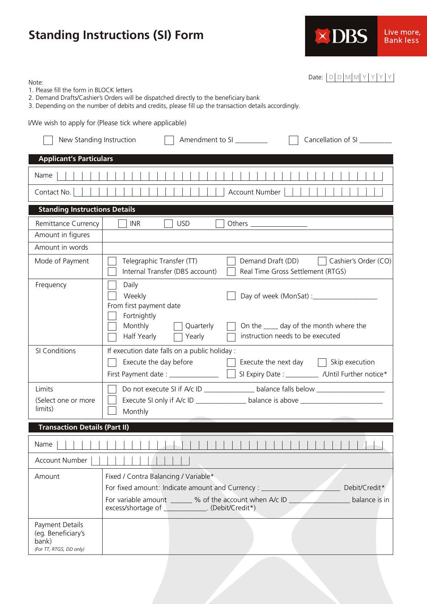## **Standing Instructions (SI) Form**



Date: **D D M M Y Y Y Y**

Note:

- 1. Please fill the form in BLOCK letters
- 2. Demand Drafts/Cashier's Orders will be dispatched directly to the beneficiary bank
- 3. Depending on the number of debits and credits, please fill up the transaction details accordingly.

I/We wish to apply for (Please tick where applicable)

| New Standing Instruction                                                  | Cancellation of SI ________<br>Amendment to SI                                                                                                                                                                          |  |  |  |  |  |
|---------------------------------------------------------------------------|-------------------------------------------------------------------------------------------------------------------------------------------------------------------------------------------------------------------------|--|--|--|--|--|
| <b>Applicant's Particulars</b>                                            |                                                                                                                                                                                                                         |  |  |  |  |  |
| Name                                                                      |                                                                                                                                                                                                                         |  |  |  |  |  |
| Contact No.<br>Account Number                                             |                                                                                                                                                                                                                         |  |  |  |  |  |
| <b>Standing Instructions Details</b>                                      |                                                                                                                                                                                                                         |  |  |  |  |  |
| Remittance Currency                                                       | <b>INR</b><br><b>USD</b>                                                                                                                                                                                                |  |  |  |  |  |
| Amount in figures                                                         |                                                                                                                                                                                                                         |  |  |  |  |  |
| Amount in words                                                           |                                                                                                                                                                                                                         |  |  |  |  |  |
| Mode of Payment                                                           | Telegraphic Transfer (TT)<br>Demand Draft (DD)     Cashier's Order (CO)<br>Internal Transfer (DBS account)<br>Real Time Gross Settlement (RTGS)                                                                         |  |  |  |  |  |
| Frequency                                                                 | Daily<br>Weekly<br>Day of week (MonSat) :_________________<br>From first payment date<br>Fortnightly                                                                                                                    |  |  |  |  |  |
|                                                                           | Monthly<br>Quarterly<br>On the ____ day of the month where the<br>instruction needs to be executed<br>Half Yearly<br>Yearly                                                                                             |  |  |  |  |  |
| SI Conditions                                                             | If execution date falls on a public holiday :<br>Execute the day before<br>Execute the next day $\ \cdot\ $ Skip execution<br>First Payment date: ______________<br>SI Expiry Date : ___________ /Until Further notice* |  |  |  |  |  |
| Limits<br>(Select one or more<br>limits)                                  | Do not execute SI if A/c ID ___________________ balance falls below _____________<br>Execute SI only if A/c ID _________________ balance is above ___________________<br>Monthly                                        |  |  |  |  |  |
| <b>Transaction Details (Part II)</b>                                      |                                                                                                                                                                                                                         |  |  |  |  |  |
| Name                                                                      |                                                                                                                                                                                                                         |  |  |  |  |  |
| Account Number                                                            |                                                                                                                                                                                                                         |  |  |  |  |  |
| Amount                                                                    | Fixed / Contra Balancing / Variable*<br>For fixed amount: Indicate amount and Currency : __<br>Debit/Credit*                                                                                                            |  |  |  |  |  |
|                                                                           | For variable amount _______ % of the account when A/c ID<br>balance is in<br>excess/shortage of _____________. (Debit/Credit*)                                                                                          |  |  |  |  |  |
| Payment Details<br>(eg. Beneficiary's<br>bank)<br>(For TT, RTGS, DD only) |                                                                                                                                                                                                                         |  |  |  |  |  |